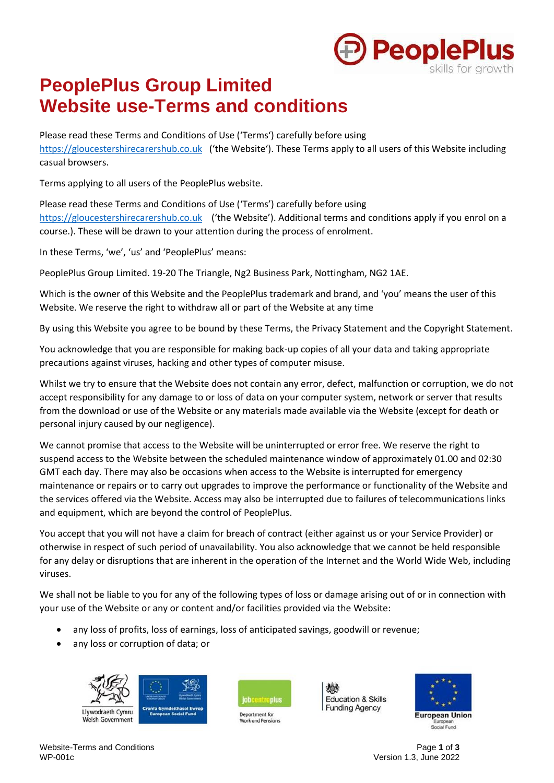

# **PeoplePlus Group Limited Website use-Terms and conditions**

Please read these Terms and Conditions of Use ('Terms') carefully before using [https://gloucestershirecarershub.co.uk](https://gloucestershirecarershub.co.uk/) ('the Website'). These Terms apply to all users of this Website including casual browsers.

Terms applying to all users of the PeoplePlus website.

Please read these Terms and Conditions of Use ('Terms') carefully before using [https://gloucestershirecarershub.co.uk](https://gloucestershirecarershub.co.uk/) ('the Website'). Additional terms and conditions apply if you enrol on a course.). These will be drawn to your attention during the process of enrolment.

In these Terms, 'we', 'us' and 'PeoplePlus' means:

PeoplePlus Group Limited. 19-20 The Triangle, Ng2 Business Park, Nottingham, NG2 1AE.

Which is the owner of this Website and the PeoplePlus trademark and brand, and 'you' means the user of this Website. We reserve the right to withdraw all or part of the Website at any time

By using this Website you agree to be bound by these Terms, the Privacy Statement and the Copyright Statement.

You acknowledge that you are responsible for making back-up copies of all your data and taking appropriate precautions against viruses, hacking and other types of computer misuse.

Whilst we try to ensure that the Website does not contain any error, defect, malfunction or corruption, we do not accept responsibility for any damage to or loss of data on your computer system, network or server that results from the download or use of the Website or any materials made available via the Website (except for death or personal injury caused by our negligence).

We cannot promise that access to the Website will be uninterrupted or error free. We reserve the right to suspend access to the Website between the scheduled maintenance window of approximately 01.00 and 02:30 GMT each day. There may also be occasions when access to the Website is interrupted for emergency maintenance or repairs or to carry out upgrades to improve the performance or functionality of the Website and the services offered via the Website. Access may also be interrupted due to failures of telecommunications links and equipment, which are beyond the control of PeoplePlus.

You accept that you will not have a claim for breach of contract (either against us or your Service Provider) or otherwise in respect of such period of unavailability. You also acknowledge that we cannot be held responsible for any delay or disruptions that are inherent in the operation of the Internet and the World Wide Web, including viruses.

We shall not be liable to you for any of the following types of loss or damage arising out of or in connection with your use of the Website or any or content and/or facilities provided via the Website:

- any loss of profits, loss of earnings, loss of anticipated savings, goodwill or revenue;
- any loss or corruption of data; or





Department for





Website-Terms and Conditions **Page 1** of **3**<br>WP-001c **Page 1** of **3** 

Version 1.3, June 2022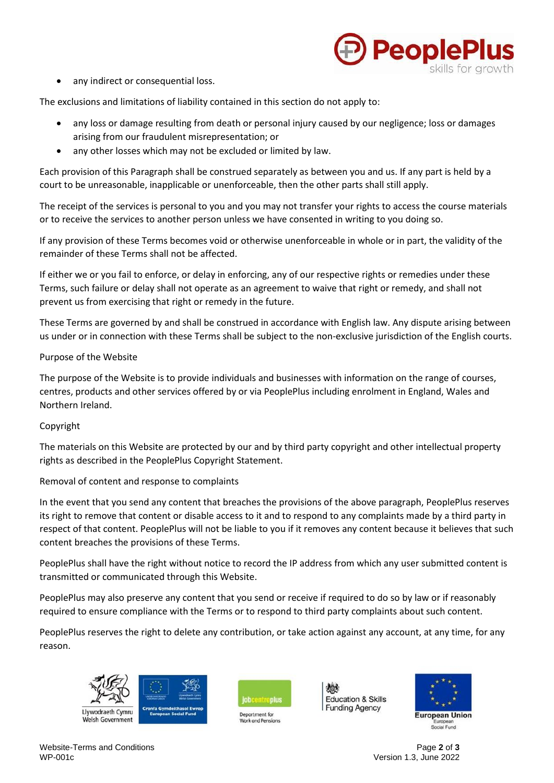

any indirect or consequential loss.

The exclusions and limitations of liability contained in this section do not apply to:

- any loss or damage resulting from death or personal injury caused by our negligence; loss or damages arising from our fraudulent misrepresentation; or
- any other losses which may not be excluded or limited by law.

Each provision of this Paragraph shall be construed separately as between you and us. If any part is held by a court to be unreasonable, inapplicable or unenforceable, then the other parts shall still apply.

The receipt of the services is personal to you and you may not transfer your rights to access the course materials or to receive the services to another person unless we have consented in writing to you doing so.

If any provision of these Terms becomes void or otherwise unenforceable in whole or in part, the validity of the remainder of these Terms shall not be affected.

If either we or you fail to enforce, or delay in enforcing, any of our respective rights or remedies under these Terms, such failure or delay shall not operate as an agreement to waive that right or remedy, and shall not prevent us from exercising that right or remedy in the future.

These Terms are governed by and shall be construed in accordance with English law. Any dispute arising between us under or in connection with these Terms shall be subject to the non-exclusive jurisdiction of the English courts.

## Purpose of the Website

The purpose of the Website is to provide individuals and businesses with information on the range of courses, centres, products and other services offered by or via PeoplePlus including enrolment in England, Wales and Northern Ireland.

## Copyright

The materials on this Website are protected by our and by third party copyright and other intellectual property rights as described in the PeoplePlus Copyright Statement.

## Removal of content and response to complaints

In the event that you send any content that breaches the provisions of the above paragraph, PeoplePlus reserves its right to remove that content or disable access to it and to respond to any complaints made by a third party in respect of that content. PeoplePlus will not be liable to you if it removes any content because it believes that such content breaches the provisions of these Terms.

PeoplePlus shall have the right without notice to record the IP address from which any user submitted content is transmitted or communicated through this Website.

PeoplePlus may also preserve any content that you send or receive if required to do so by law or if reasonably required to ensure compliance with the Terms or to respond to third party complaints about such content.

PeoplePlus reserves the right to delete any contribution, or take action against any account, at any time, for any reason.





Department for





Website-Terms and Conditions Page **2** of **3**

Version 1.3, June 2022